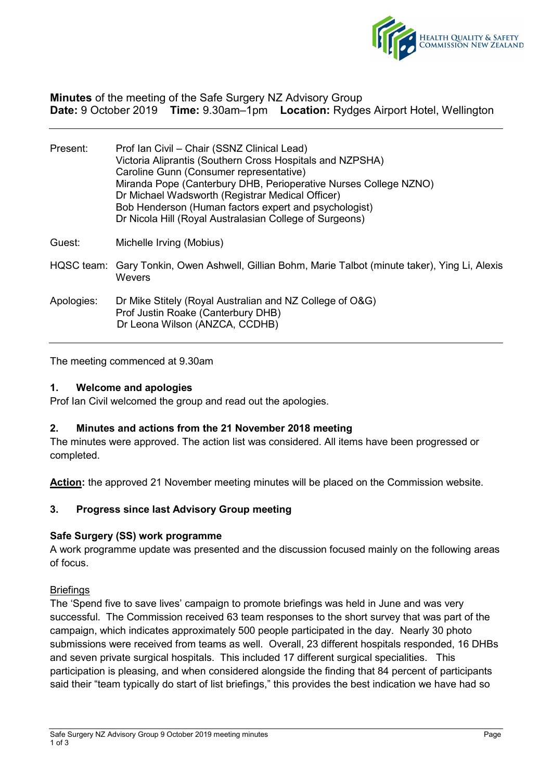

**Minutes** of the meeting of the Safe Surgery NZ Advisory Group **Date:** 9 October 2019 **Time:** 9.30am–1pm **Location:** Rydges Airport Hotel, Wellington

| Present:   | Prof Ian Civil - Chair (SSNZ Clinical Lead)<br>Victoria Aliprantis (Southern Cross Hospitals and NZPSHA)<br>Caroline Gunn (Consumer representative)<br>Miranda Pope (Canterbury DHB, Perioperative Nurses College NZNO)<br>Dr Michael Wadsworth (Registrar Medical Officer)<br>Bob Henderson (Human factors expert and psychologist)<br>Dr Nicola Hill (Royal Australasian College of Surgeons) |
|------------|-------------------------------------------------------------------------------------------------------------------------------------------------------------------------------------------------------------------------------------------------------------------------------------------------------------------------------------------------------------------------------------------------|
| Guest:     | Michelle Irving (Mobius)                                                                                                                                                                                                                                                                                                                                                                        |
|            | HQSC team: Gary Tonkin, Owen Ashwell, Gillian Bohm, Marie Talbot (minute taker), Ying Li, Alexis<br>Wevers                                                                                                                                                                                                                                                                                      |
| Apologies: | Dr Mike Stitely (Royal Australian and NZ College of O&G)<br>Prof Justin Roake (Canterbury DHB)<br>Dr Leona Wilson (ANZCA, CCDHB)                                                                                                                                                                                                                                                                |

The meeting commenced at 9.30am

## **1. Welcome and apologies**

Prof Ian Civil welcomed the group and read out the apologies.

#### **2. Minutes and actions from the 21 November 2018 meeting**

The minutes were approved. The action list was considered. All items have been progressed or completed.

**Action:** the approved 21 November meeting minutes will be placed on the Commission website.

# **3. Progress since last Advisory Group meeting**

## **Safe Surgery (SS) work programme**

A work programme update was presented and the discussion focused mainly on the following areas of focus.

#### **Briefings**

The 'Spend five to save lives' campaign to promote briefings was held in June and was very successful. The Commission received 63 team responses to the short survey that was part of the campaign, which indicates approximately 500 people participated in the day. Nearly 30 photo submissions were received from teams as well. Overall, 23 different hospitals responded, 16 DHBs and seven private surgical hospitals. This included 17 different surgical specialities. This participation is pleasing, and when considered alongside the finding that 84 percent of participants said their "team typically do start of list briefings," this provides the best indication we have had so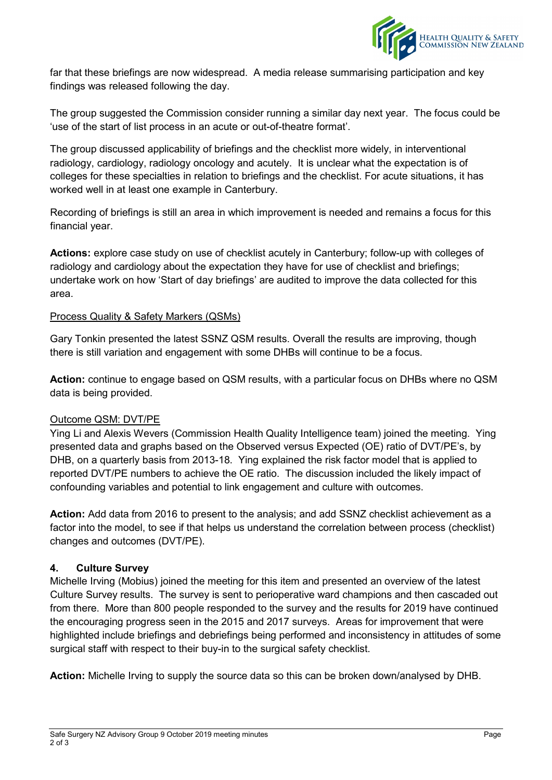

far that these briefings are now widespread. A media release summarising participation and key findings was released following the day.

The group suggested the Commission consider running a similar day next year. The focus could be 'use of the start of list process in an acute or out-of-theatre format'.

The group discussed applicability of briefings and the checklist more widely, in interventional radiology, cardiology, radiology oncology and acutely. It is unclear what the expectation is of colleges for these specialties in relation to briefings and the checklist. For acute situations, it has worked well in at least one example in Canterbury.

Recording of briefings is still an area in which improvement is needed and remains a focus for this financial year.

**Actions:** explore case study on use of checklist acutely in Canterbury; follow-up with colleges of radiology and cardiology about the expectation they have for use of checklist and briefings; undertake work on how 'Start of day briefings' are audited to improve the data collected for this area.

## Process Quality & Safety Markers (QSMs)

Gary Tonkin presented the latest SSNZ QSM results. Overall the results are improving, though there is still variation and engagement with some DHBs will continue to be a focus.

**Action:** continue to engage based on QSM results, with a particular focus on DHBs where no QSM data is being provided.

#### Outcome QSM: DVT/PE

Ying Li and Alexis Wevers (Commission Health Quality Intelligence team) joined the meeting. Ying presented data and graphs based on the Observed versus Expected (OE) ratio of DVT/PE's, by DHB, on a quarterly basis from 2013-18. Ying explained the risk factor model that is applied to reported DVT/PE numbers to achieve the OE ratio. The discussion included the likely impact of confounding variables and potential to link engagement and culture with outcomes.

**Action:** Add data from 2016 to present to the analysis; and add SSNZ checklist achievement as a factor into the model, to see if that helps us understand the correlation between process (checklist) changes and outcomes (DVT/PE).

# **4. Culture Survey**

Michelle Irving (Mobius) joined the meeting for this item and presented an overview of the latest Culture Survey results. The survey is sent to perioperative ward champions and then cascaded out from there. More than 800 people responded to the survey and the results for 2019 have continued the encouraging progress seen in the 2015 and 2017 surveys. Areas for improvement that were highlighted include briefings and debriefings being performed and inconsistency in attitudes of some surgical staff with respect to their buy-in to the surgical safety checklist.

**Action:** Michelle Irving to supply the source data so this can be broken down/analysed by DHB.